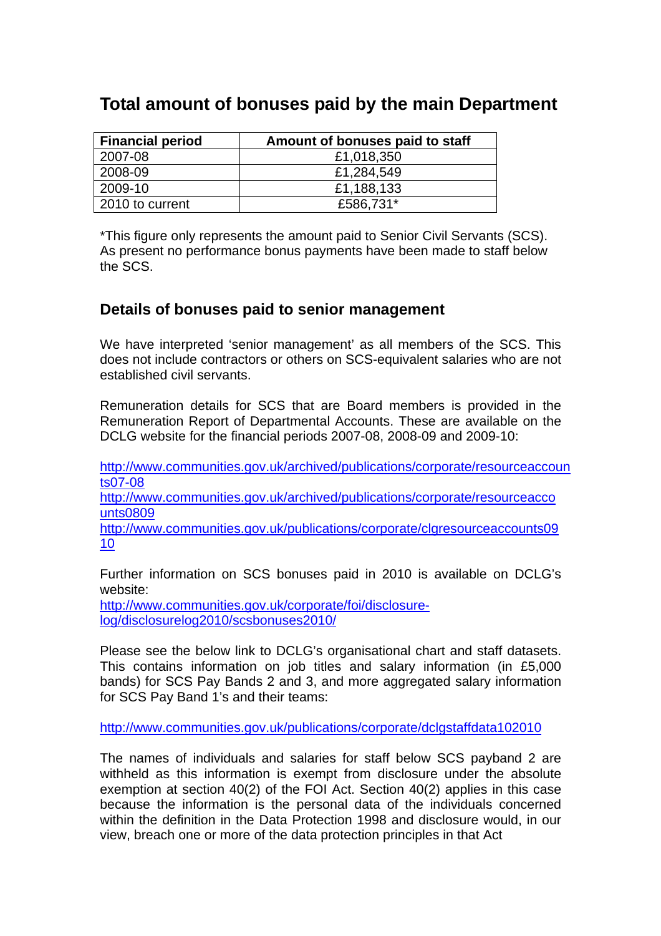## **Total amount of bonuses paid by the main Department**

| <b>Financial period</b> | Amount of bonuses paid to staff |
|-------------------------|---------------------------------|
| 2007-08                 | £1,018,350                      |
| 2008-09                 | £1,284,549                      |
| 2009-10                 | £1,188,133                      |
| 2010 to current         | £586,731*                       |

\*This figure only represents the amount paid to Senior Civil Servants (SCS). As present no performance bonus payments have been made to staff below the SCS.

## **Details of bonuses paid to senior management**

We have interpreted 'senior management' as all members of the SCS. This does not include contractors or others on SCS-equivalent salaries who are not established civil servants.

Remuneration details for SCS that are Board members is provided in the Remuneration Report of Departmental Accounts. These are available on the DCLG website for the financial periods 2007-08, 2008-09 and 2009-10:

[http://www.communities.gov.uk/archived/publications/corporate/resourceaccoun](http://www.communities.gov.uk/archived/publications/corporate/resourceaccounts07-08) [ts07-08](http://www.communities.gov.uk/archived/publications/corporate/resourceaccounts07-08)

[http://www.communities.gov.uk/archived/publications/corporate/resourceacco](http://www.communities.gov.uk/archived/publications/corporate/resourceaccounts0809) [unts0809](http://www.communities.gov.uk/archived/publications/corporate/resourceaccounts0809)

[http://www.communities.gov.uk/publications/corporate/clgresourceaccounts09](http://www.communities.gov.uk/publications/corporate/clgresourceaccounts0910) [10](http://www.communities.gov.uk/publications/corporate/clgresourceaccounts0910)

Further information on SCS bonuses paid in 2010 is available on DCLG's website:

[http://www.communities.gov.uk/corporate/foi/disclosure](http://www.communities.gov.uk/corporate/foi/disclosure-log/disclosurelog2010/scsbonuses2010/)[log/disclosurelog2010/scsbonuses2010/](http://www.communities.gov.uk/corporate/foi/disclosure-log/disclosurelog2010/scsbonuses2010/) 

Please see the below link to DCLG's organisational chart and staff datasets. This contains information on job titles and salary information (in £5,000 bands) for SCS Pay Bands 2 and 3, and more aggregated salary information for SCS Pay Band 1's and their teams:

<http://www.communities.gov.uk/publications/corporate/dclgstaffdata102010>

The names of individuals and salaries for staff below SCS payband 2 are withheld as this information is exempt from disclosure under the absolute exemption at section 40(2) of the FOI Act. Section 40(2) applies in this case because the information is the personal data of the individuals concerned within the definition in the Data Protection 1998 and disclosure would, in our view, breach one or more of the data protection principles in that Act